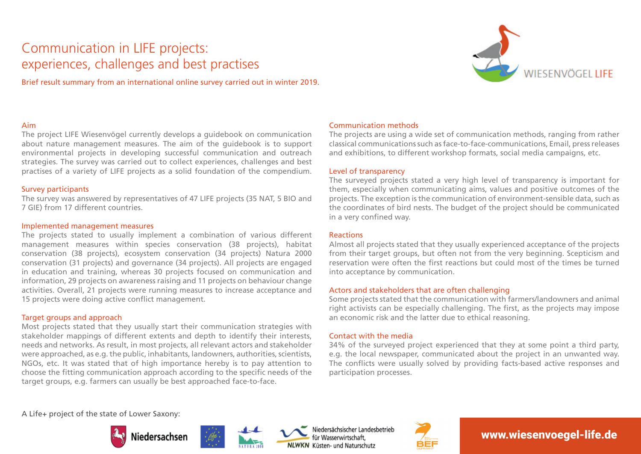# Communication in LIFE projects: experiences, challenges and best practises

Brief result summary from an international online survey carried out in winter 2019.



### Aim

The project LIFE Wiesenvögel currently develops a guidebook on communication about nature management measures. The aim of the guidebook is to support environmental projects in developing successful communication and outreach strategies. The survey was carried out to collect experiences, challenges and best practises of a variety of LIFE projects as a solid foundation of the compendium.

### Survey participants

The survey was answered by representatives of 47 LIFE projects (35 NAT, 5 BIO and 7 GIE) from 17 different countries.

#### Implemented management measures

The projects stated to usually implement a combination of various different management measures within species conservation (38 projects), habitat conservation (38 projects), ecosystem conservation (34 projects) Natura 2000 conservation (31 projects) and governance (34 projects). All projects are engaged in education and training, whereas 30 projects focused on communication and information, 29 projects on awareness raising and 11 projects on behaviour change activities. Overall, 21 projects were running measures to increase acceptance and 15 projects were doing active conflict management.

# Target groups and approach

Most projects stated that they usually start their communication strategies with stakeholder mappings of different extents and depth to identify their interests, needs and networks. As result, in most projects, all relevant actors and stakeholder were approached, as e.g. the public, inhabitants, landowners, authorities, scientists, NGOs, etc. It was stated that of high importance hereby is to pay attention to choose the fitting communication approach according to the specific needs of the target groups, e.g. farmers can usually be best approached face-to-face.

# Communication methods

The projects are using a wide set of communication methods, ranging from rather classical communications such as face-to-face-communications, Email, press releases and exhibitions, to different workshop formats, social media campaigns, etc.

# Level of transparency

The surveyed projects stated a very high level of transparency is important for them, especially when communicating aims, values and positive outcomes of the projects. The exception is the communication of environment-sensible data, such as the coordinates of bird nests. The budget of the project should be communicated in a very confined way.

# Reactions

Almost all projects stated that they usually experienced acceptance of the projects from their target groups, but often not from the very beginning. Scepticism and reservation were often the first reactions but could most of the times be turned into acceptance by communication.

# Actors and stakeholders that are often challenging

Some projects stated that the communication with farmers/landowners and animal right activists can be especially challenging. The first, as the projects may impose an economic risk and the latter due to ethical reasoning.

# Contact with the media

34% of the surveyed project experienced that they at some point a third party, e.g. the local newspaper, communicated about the project in an unwanted way. The conflicts were usually solved by providing facts-based active responses and participation processes.

A Life+ project of the state of Lower Saxony:











# www.wiesenvoegel-life.de